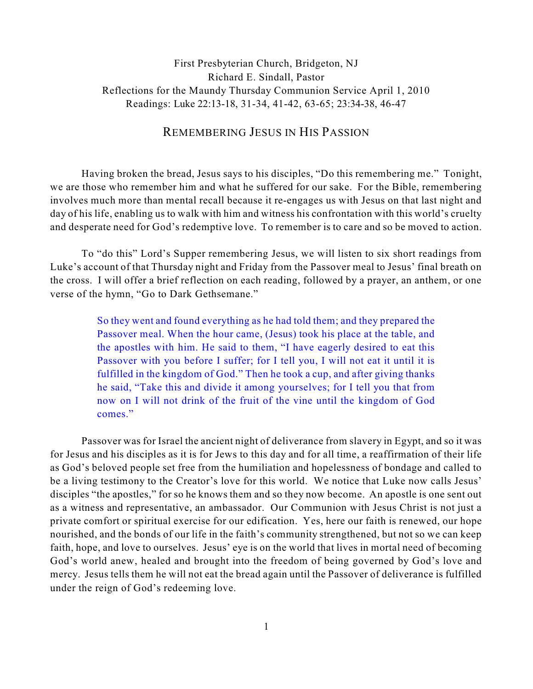# First Presbyterian Church, Bridgeton, NJ Richard E. Sindall, Pastor Reflections for the Maundy Thursday Communion Service April 1, 2010 Readings: Luke 22:13-18, 31-34, 41-42, 63-65; 23:34-38, 46-47

## REMEMBERING JESUS IN HIS PASSION

Having broken the bread, Jesus says to his disciples, "Do this remembering me." Tonight, we are those who remember him and what he suffered for our sake. For the Bible, remembering involves much more than mental recall because it re-engages us with Jesus on that last night and day of his life, enabling us to walk with him and witness his confrontation with this world's cruelty and desperate need for God's redemptive love. To remember is to care and so be moved to action.

To "do this" Lord's Supper remembering Jesus, we will listen to six short readings from Luke's account of that Thursday night and Friday from the Passover meal to Jesus' final breath on the cross. I will offer a brief reflection on each reading, followed by a prayer, an anthem, or one verse of the hymn, "Go to Dark Gethsemane."

> So they went and found everything as he had told them; and they prepared the Passover meal. When the hour came, (Jesus) took his place at the table, and the apostles with him. He said to them, "I have eagerly desired to eat this Passover with you before I suffer; for I tell you, I will not eat it until it is fulfilled in the kingdom of God." Then he took a cup, and after giving thanks he said, "Take this and divide it among yourselves; for I tell you that from now on I will not drink of the fruit of the vine until the kingdom of God comes."

Passover was for Israel the ancient night of deliverance from slavery in Egypt, and so it was for Jesus and his disciples as it is for Jews to this day and for all time, a reaffirmation of their life as God's beloved people set free from the humiliation and hopelessness of bondage and called to be a living testimony to the Creator's love for this world. We notice that Luke now calls Jesus' disciples "the apostles," for so he knows them and so they now become. An apostle is one sent out as a witness and representative, an ambassador. Our Communion with Jesus Christ is not just a private comfort or spiritual exercise for our edification. Yes, here our faith is renewed, our hope nourished, and the bonds of our life in the faith's community strengthened, but not so we can keep faith, hope, and love to ourselves. Jesus' eye is on the world that lives in mortal need of becoming God's world anew, healed and brought into the freedom of being governed by God's love and mercy. Jesus tells them he will not eat the bread again until the Passover of deliverance is fulfilled under the reign of God's redeeming love.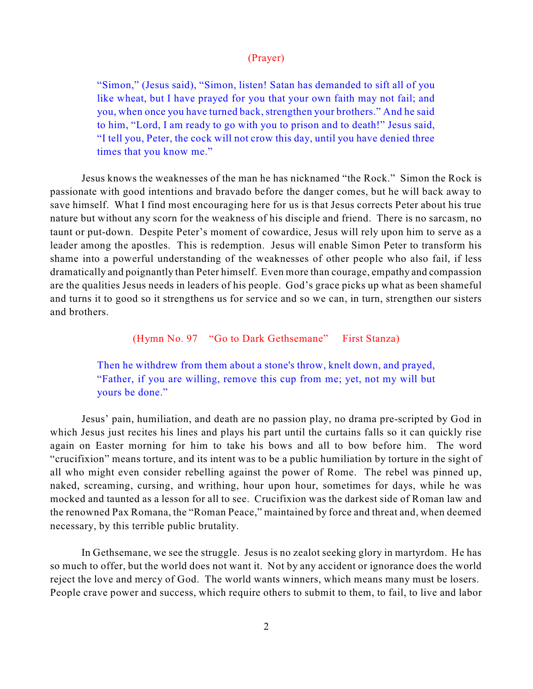### (Prayer)

"Simon," (Jesus said), "Simon, listen! Satan has demanded to sift all of you like wheat, but I have prayed for you that your own faith may not fail; and you, when once you have turned back, strengthen your brothers." And he said to him, "Lord, I am ready to go with you to prison and to death!" Jesus said, "I tell you, Peter, the cock will not crow this day, until you have denied three times that you know me."

Jesus knows the weaknesses of the man he has nicknamed "the Rock." Simon the Rock is passionate with good intentions and bravado before the danger comes, but he will back away to save himself. What I find most encouraging here for us is that Jesus corrects Peter about his true nature but without any scorn for the weakness of his disciple and friend. There is no sarcasm, no taunt or put-down. Despite Peter's moment of cowardice, Jesus will rely upon him to serve as a leader among the apostles. This is redemption. Jesus will enable Simon Peter to transform his shame into a powerful understanding of the weaknesses of other people who also fail, if less dramatically and poignantly than Peter himself. Even more than courage, empathy and compassion are the qualities Jesus needs in leaders of his people. God's grace picks up what as been shameful and turns it to good so it strengthens us for service and so we can, in turn, strengthen our sisters and brothers.

(Hymn No. 97 "Go to Dark Gethsemane" First Stanza)

Then he withdrew from them about a stone's throw, knelt down, and prayed, "Father, if you are willing, remove this cup from me; yet, not my will but yours be done."

Jesus' pain, humiliation, and death are no passion play, no drama pre-scripted by God in which Jesus just recites his lines and plays his part until the curtains falls so it can quickly rise again on Easter morning for him to take his bows and all to bow before him. The word "crucifixion" means torture, and its intent was to be a public humiliation by torture in the sight of all who might even consider rebelling against the power of Rome. The rebel was pinned up, naked, screaming, cursing, and writhing, hour upon hour, sometimes for days, while he was mocked and taunted as a lesson for all to see. Crucifixion was the darkest side of Roman law and the renowned Pax Romana, the "Roman Peace," maintained by force and threat and, when deemed necessary, by this terrible public brutality.

In Gethsemane, we see the struggle. Jesus is no zealot seeking glory in martyrdom. He has so much to offer, but the world does not want it. Not by any accident or ignorance does the world reject the love and mercy of God. The world wants winners, which means many must be losers. People crave power and success, which require others to submit to them, to fail, to live and labor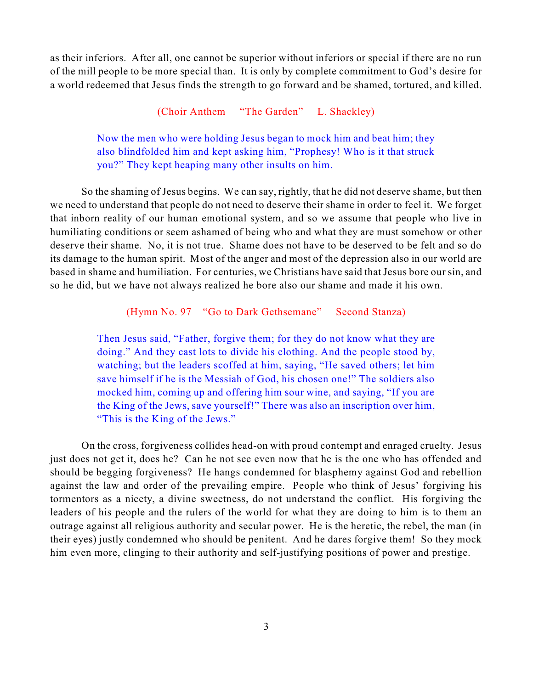as their inferiors. After all, one cannot be superior without inferiors or special if there are no run of the mill people to be more special than. It is only by complete commitment to God's desire for a world redeemed that Jesus finds the strength to go forward and be shamed, tortured, and killed.

(Choir Anthem "The Garden" L. Shackley)

Now the men who were holding Jesus began to mock him and beat him; they also blindfolded him and kept asking him, "Prophesy! Who is it that struck you?" They kept heaping many other insults on him.

So the shaming of Jesus begins. We can say, rightly, that he did not deserve shame, but then we need to understand that people do not need to deserve their shame in order to feel it. We forget that inborn reality of our human emotional system, and so we assume that people who live in humiliating conditions or seem ashamed of being who and what they are must somehow or other deserve their shame. No, it is not true. Shame does not have to be deserved to be felt and so do its damage to the human spirit. Most of the anger and most of the depression also in our world are based in shame and humiliation. For centuries, we Christians have said that Jesus bore our sin, and so he did, but we have not always realized he bore also our shame and made it his own.

#### (Hymn No. 97 "Go to Dark Gethsemane" Second Stanza)

Then Jesus said, "Father, forgive them; for they do not know what they are doing." And they cast lots to divide his clothing. And the people stood by, watching; but the leaders scoffed at him, saying, "He saved others; let him save himself if he is the Messiah of God, his chosen one!" The soldiers also mocked him, coming up and offering him sour wine, and saying, "If you are the King of the Jews, save yourself!" There was also an inscription over him, "This is the King of the Jews."

On the cross, forgiveness collides head-on with proud contempt and enraged cruelty. Jesus just does not get it, does he? Can he not see even now that he is the one who has offended and should be begging forgiveness? He hangs condemned for blasphemy against God and rebellion against the law and order of the prevailing empire. People who think of Jesus' forgiving his tormentors as a nicety, a divine sweetness, do not understand the conflict. His forgiving the leaders of his people and the rulers of the world for what they are doing to him is to them an outrage against all religious authority and secular power. He is the heretic, the rebel, the man (in their eyes) justly condemned who should be penitent. And he dares forgive them! So they mock him even more, clinging to their authority and self-justifying positions of power and prestige.